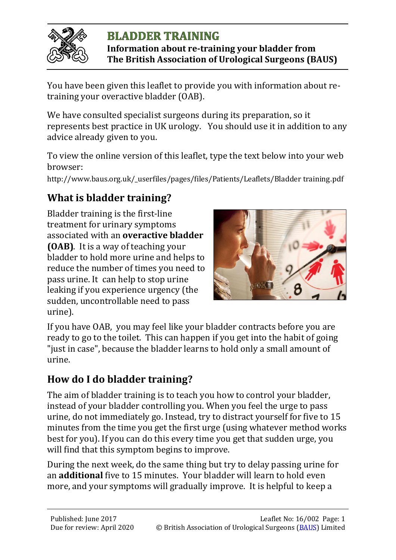

# **BLADDER TRAINING Information about re-training your bladder from**

**The British Association of Urological Surgeons (BAUS)**

You have been given this leaflet to provide you with information about retraining your overactive bladder (OAB).

We have consulted specialist surgeons during its preparation, so it represents best practice in UK urology. You should use it in addition to any advice already given to you.

To view the online version of this leaflet, type the text below into your web browser:

http://www.baus.org.uk/\_userfiles/pages/files/Patients/Leaflets/Bladder training.pdf

# **What is bladder training?**

Bladder training is the first-line treatment for urinary symptoms associated with an **overactive bladder (OAB)**. It is a way of teaching your bladder to hold more urine and helps to reduce the number of times you need to pass urine. It can help to stop urine leaking if you experience urgency (the sudden, uncontrollable need to pass urine).



If you have OAB, you may feel like your bladder contracts before you are ready to go to the toilet. This can happen if you get into the habit of going "just in case", because the bladder learns to hold only a small amount of urine.

# **How do I do bladder training?**

The aim of bladder training is to teach you how to control your bladder, instead of your bladder controlling you. When you feel the urge to pass urine, do not immediately go. Instead, try to distract yourself for five to 15 minutes from the time you get the first urge (using whatever method works best for you). If you can do this every time you get that sudden urge, you will find that this symptom begins to improve.

During the next week, do the same thing but try to delay passing urine for an **additional** five to 15 minutes. Your bladder will learn to hold even more, and your symptoms will gradually improve. It is helpful to keep a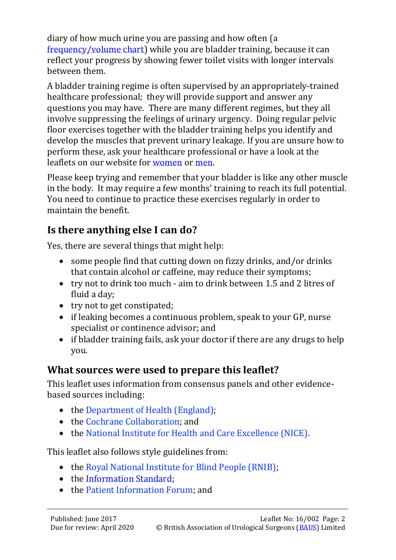diary of how much urine you are passing and how often (a [frequency/volume chart\)](http://www.baus.org.uk/_userfiles/pages/files/Patients/Leaflets/Input%20output%20chart.pdf) while you are bladder training, because it can reflect your progress by showing fewer toilet visits with longer intervals between them.

A bladder training regime is often supervised by an appropriately-trained healthcare professional; they will provide support and answer any questions you may have. There are many different regimes, but they all involve suppressing the feelings of urinary urgency. Doing regular pelvic floor exercises together with the bladder training helps you identify and develop the muscles that prevent urinary leakage. If you are unsure how to perform these, ask your healthcare professional or have a look at the leaflets on our website for [women](http://www.baus.org.uk/_userfiles/pages/files/Patients/Leaflets/Pelvic%20floor%20XS%20female.pdf) or [men.](http://www.baus.org.uk/_userfiles/pages/files/Patients/Leaflets/Pelvic%20floor%20XS%20male.pdf)

Please keep trying and remember that your bladder is like any other muscle in the body. It may require a few months' training to reach its full potential. You need to continue to practice these exercises regularly in order to maintain the benefit.

### **Is there anything else I can do?**

Yes, there are several things that might help:

- some people find that cutting down on fizzy drinks, and/or drinks that contain alcohol or caffeine, may reduce their symptoms;
- try not to drink too much aim to drink between 1.5 and 2 litres of fluid a day;
- try not to get constipated;
- if leaking becomes a continuous problem, speak to your GP, nurse specialist or continence advisor; and
- if bladder training fails, ask your doctor if there are any drugs to help you.

### **What sources were used to prepare this leaflet?**

This leaflet uses information from consensus panels and other evidencebased sources including:

- the [Department of Health \(England\);](https://www.gov.uk/government/organisations/department-of-health)
- the [Cochrane Collaboration;](http://uk.cochrane.org/) and
- the [National Institute for Health and Care Excellence \(NICE\).](https://www.nice.org.uk/)

This leaflet also follows style guidelines from:

- the [Royal National Institute for Blind People \(RNIB\);](http://www.rnib.org.uk/)
- the Information Standard:
- the [Patient Information Forum;](http://www.pifonline.org.uk/) and